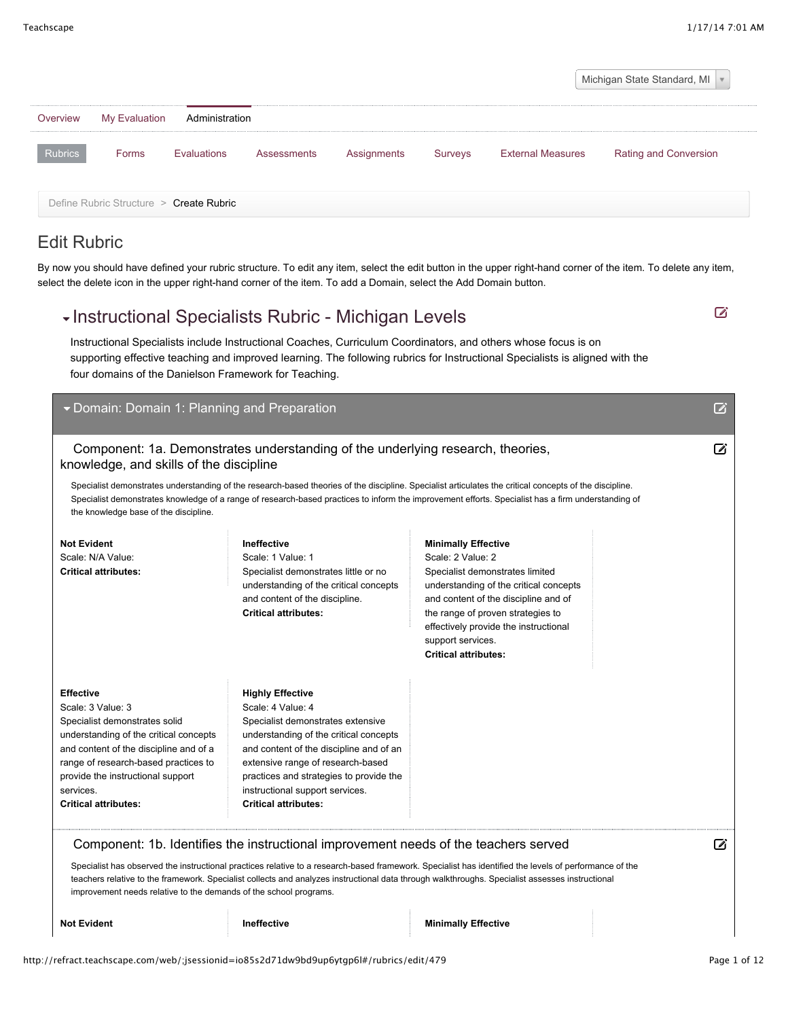|                    |                                         |                                                       |             |                                                                                                                   |                |                                                                                                                                                                | Michigan State Standard, MI |                       |
|--------------------|-----------------------------------------|-------------------------------------------------------|-------------|-------------------------------------------------------------------------------------------------------------------|----------------|----------------------------------------------------------------------------------------------------------------------------------------------------------------|-----------------------------|-----------------------|
| Overview           | My Evaluation                           | Administration                                        |             |                                                                                                                   |                |                                                                                                                                                                |                             |                       |
| <b>Rubrics</b>     | Forms                                   | Evaluations                                           | Assessments | Assignments                                                                                                       | <b>Surveys</b> | <b>External Measures</b>                                                                                                                                       |                             | Rating and Conversion |
|                    | Define Rubric Structure > Create Rubric |                                                       |             |                                                                                                                   |                |                                                                                                                                                                |                             |                       |
|                    |                                         |                                                       |             |                                                                                                                   |                |                                                                                                                                                                |                             |                       |
|                    |                                         |                                                       |             |                                                                                                                   |                |                                                                                                                                                                |                             |                       |
|                    |                                         |                                                       |             |                                                                                                                   |                | By now you should have defined your rubric structure. To edit any item, select the edit button in the upper right-hand corner of the item. To delete any item, |                             |                       |
|                    |                                         |                                                       |             | select the delete icon in the upper right-hand corner of the item. To add a Domain, select the Add Domain button. |                |                                                                                                                                                                |                             |                       |
|                    |                                         |                                                       |             | Instructional Specialists Rubric - Michigan Levels                                                                |                |                                                                                                                                                                |                             | M                     |
|                    |                                         |                                                       |             |                                                                                                                   |                | Instructional Specialists include Instructional Coaches, Curriculum Coordinators, and others whose focus is on                                                 |                             |                       |
|                    |                                         | four domains of the Danielson Framework for Teaching. |             |                                                                                                                   |                | supporting effective teaching and improved learning. The following rubrics for Instructional Specialists is aligned with the                                   |                             |                       |
| <b>Edit Rubric</b> |                                         |                                                       |             |                                                                                                                   |                |                                                                                                                                                                |                             |                       |
|                    |                                         | Domain: Domain 1: Planning and Preparation            |             |                                                                                                                   |                |                                                                                                                                                                |                             | $\triangledown$       |
|                    |                                         |                                                       |             | Component: 1a. Demonstrates understanding of the underlying research, theories,                                   |                |                                                                                                                                                                |                             | rì                    |

Specialist demonstrates knowledge of a range of research-based practices to inform the improvement efforts. Specialist has a firm understanding of the knowledge base of the discipline.

| <b>Not Evident</b><br>Scale: N/A Value:<br><b>Critical attributes:</b>                                                                                                                                                                                                              | Ineffective<br>Scale: 1 Value: 1<br>Specialist demonstrates little or no<br>understanding of the critical concepts<br>and content of the discipline.<br><b>Critical attributes:</b>                                                                                                                                      | <b>Minimally Effective</b><br>Scale: 2 Value: 2<br>Specialist demonstrates limited<br>understanding of the critical concepts<br>and content of the discipline and of<br>the range of proven strategies to<br>effectively provide the instructional<br>support services.<br><b>Critical attributes:</b> |  |
|-------------------------------------------------------------------------------------------------------------------------------------------------------------------------------------------------------------------------------------------------------------------------------------|--------------------------------------------------------------------------------------------------------------------------------------------------------------------------------------------------------------------------------------------------------------------------------------------------------------------------|--------------------------------------------------------------------------------------------------------------------------------------------------------------------------------------------------------------------------------------------------------------------------------------------------------|--|
| <b>Effective</b><br>Scale: 3 Value: 3<br>Specialist demonstrates solid<br>understanding of the critical concepts<br>and content of the discipline and of a<br>range of research-based practices to<br>provide the instructional support<br>services.<br><b>Critical attributes:</b> | <b>Highly Effective</b><br>Scale: 4 Value: 4<br>Specialist demonstrates extensive<br>understanding of the critical concepts<br>and content of the discipline and of an<br>extensive range of research-based<br>practices and strategies to provide the<br>instructional support services.<br><b>Critical attributes:</b> |                                                                                                                                                                                                                                                                                                        |  |

Component: 1b. Identifies the instructional improvement needs of the teachers served

Specialist has observed the instructional practices relative to a research-based framework. Specialist has identified the levels of performance of the teachers relative to the framework. Specialist collects and analyzes instructional data through walkthroughs. Specialist assesses instructional improvement needs relative to the demands of the school programs.

**Not Evident Ineffective Minimally Effective**

 $\ddot{\phantom{a}}$ 

 $\overline{a}$ 

 $\ddot{\phantom{a}}$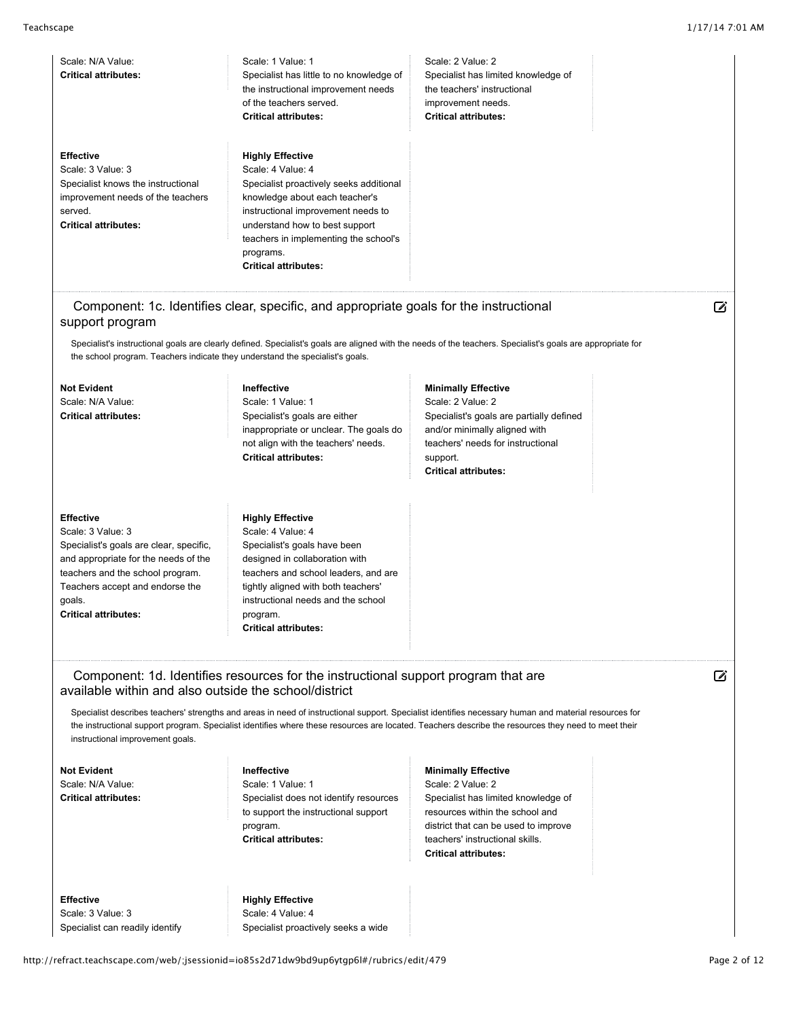| Scale: N/A Value:<br><b>Critical attributes:</b>                                                                                                           | Scale: 1 Value: 1<br>Specialist has little to no knowledge of<br>the instructional improvement needs<br>of the teachers served.<br><b>Critical attributes:</b>                                                                                                                         | Scale: 2 Value: 2<br>Specialist has limited knowledge of<br>the teachers' instructional<br>improvement needs.<br><b>Critical attributes:</b>                                                                                                                                                                 |   |
|------------------------------------------------------------------------------------------------------------------------------------------------------------|----------------------------------------------------------------------------------------------------------------------------------------------------------------------------------------------------------------------------------------------------------------------------------------|--------------------------------------------------------------------------------------------------------------------------------------------------------------------------------------------------------------------------------------------------------------------------------------------------------------|---|
| <b>Effective</b><br>Scale: 3 Value: 3<br>Specialist knows the instructional<br>improvement needs of the teachers<br>served.<br><b>Critical attributes:</b> | <b>Highly Effective</b><br>Scale: 4 Value: 4<br>Specialist proactively seeks additional<br>knowledge about each teacher's<br>instructional improvement needs to<br>understand how to best support<br>teachers in implementing the school's<br>programs.<br><b>Critical attributes:</b> |                                                                                                                                                                                                                                                                                                              |   |
| support program                                                                                                                                            | Component: 1c. Identifies clear, specific, and appropriate goals for the instructional                                                                                                                                                                                                 | Specialist's instructional goals are clearly defined. Specialist's goals are aligned with the needs of the teachers. Specialist's goals are appropriate for                                                                                                                                                  | ☑ |
| the school program. Teachers indicate they understand the specialist's goals.                                                                              |                                                                                                                                                                                                                                                                                        |                                                                                                                                                                                                                                                                                                              |   |
| <b>Not Evident</b><br>Scale: N/A Value:<br><b>Critical attributes:</b>                                                                                     | Ineffective<br>Scale: 1 Value: 1<br>Specialist's goals are either<br>inappropriate or unclear. The goals do<br>not align with the teachers' needs.<br><b>Critical attributes:</b>                                                                                                      | <b>Minimally Effective</b><br>Scale: 2 Value: 2<br>Specialist's goals are partially defined<br>and/or minimally aligned with<br>teachers' needs for instructional<br>support.<br><b>Critical attributes:</b>                                                                                                 |   |
| <b>Effective</b>                                                                                                                                           | <b>Highly Effective</b>                                                                                                                                                                                                                                                                |                                                                                                                                                                                                                                                                                                              |   |
| Scale: 3 Value: 3                                                                                                                                          | Scale: 4 Value: 4                                                                                                                                                                                                                                                                      |                                                                                                                                                                                                                                                                                                              |   |
| Specialist's goals are clear, specific,                                                                                                                    | Specialist's goals have been                                                                                                                                                                                                                                                           |                                                                                                                                                                                                                                                                                                              |   |
| and appropriate for the needs of the                                                                                                                       | designed in collaboration with                                                                                                                                                                                                                                                         |                                                                                                                                                                                                                                                                                                              |   |
| teachers and the school program.                                                                                                                           | teachers and school leaders, and are                                                                                                                                                                                                                                                   |                                                                                                                                                                                                                                                                                                              |   |
| Teachers accept and endorse the                                                                                                                            | tightly aligned with both teachers'                                                                                                                                                                                                                                                    |                                                                                                                                                                                                                                                                                                              |   |
| goals.                                                                                                                                                     | instructional needs and the school                                                                                                                                                                                                                                                     |                                                                                                                                                                                                                                                                                                              |   |
| <b>Critical attributes:</b>                                                                                                                                | program.<br><b>Critical attributes:</b>                                                                                                                                                                                                                                                |                                                                                                                                                                                                                                                                                                              |   |
| available within and also outside the school/district                                                                                                      | Component: 1d. Identifies resources for the instructional support program that are                                                                                                                                                                                                     | Specialist describes teachers' strengths and areas in need of instructional support. Specialist identifies necessary human and material resources for<br>the instructional support program. Specialist identifies where these resources are located. Teachers describe the resources they need to meet their | ☑ |
| instructional improvement goals.                                                                                                                           |                                                                                                                                                                                                                                                                                        |                                                                                                                                                                                                                                                                                                              |   |
| <b>Not Evident</b>                                                                                                                                         | Ineffective                                                                                                                                                                                                                                                                            | <b>Minimally Effective</b>                                                                                                                                                                                                                                                                                   |   |
|                                                                                                                                                            | Scale: 1 Value: 1                                                                                                                                                                                                                                                                      | Scale: 2 Value: 2                                                                                                                                                                                                                                                                                            |   |
| Scale: N/A Value:                                                                                                                                          | Specialist does not identify resources                                                                                                                                                                                                                                                 | Specialist has limited knowledge of                                                                                                                                                                                                                                                                          |   |
| <b>Critical attributes:</b>                                                                                                                                |                                                                                                                                                                                                                                                                                        |                                                                                                                                                                                                                                                                                                              |   |
|                                                                                                                                                            | to support the instructional support                                                                                                                                                                                                                                                   | resources within the school and                                                                                                                                                                                                                                                                              |   |
|                                                                                                                                                            | program.                                                                                                                                                                                                                                                                               | district that can be used to improve                                                                                                                                                                                                                                                                         |   |
|                                                                                                                                                            | <b>Critical attributes:</b>                                                                                                                                                                                                                                                            | teachers' instructional skills.<br><b>Critical attributes:</b>                                                                                                                                                                                                                                               |   |

**Effective** Scale: 3 Value: 3 Specialist can readily identify **Highly Effective** Scale: 4 Value: 4 Specialist proactively seeks a wide

http://refract.teachscape.com/web/;jsessionid=io85s2d71dw9bd9up6ytgp6l#/rubrics/edit/479 Page 2 of 12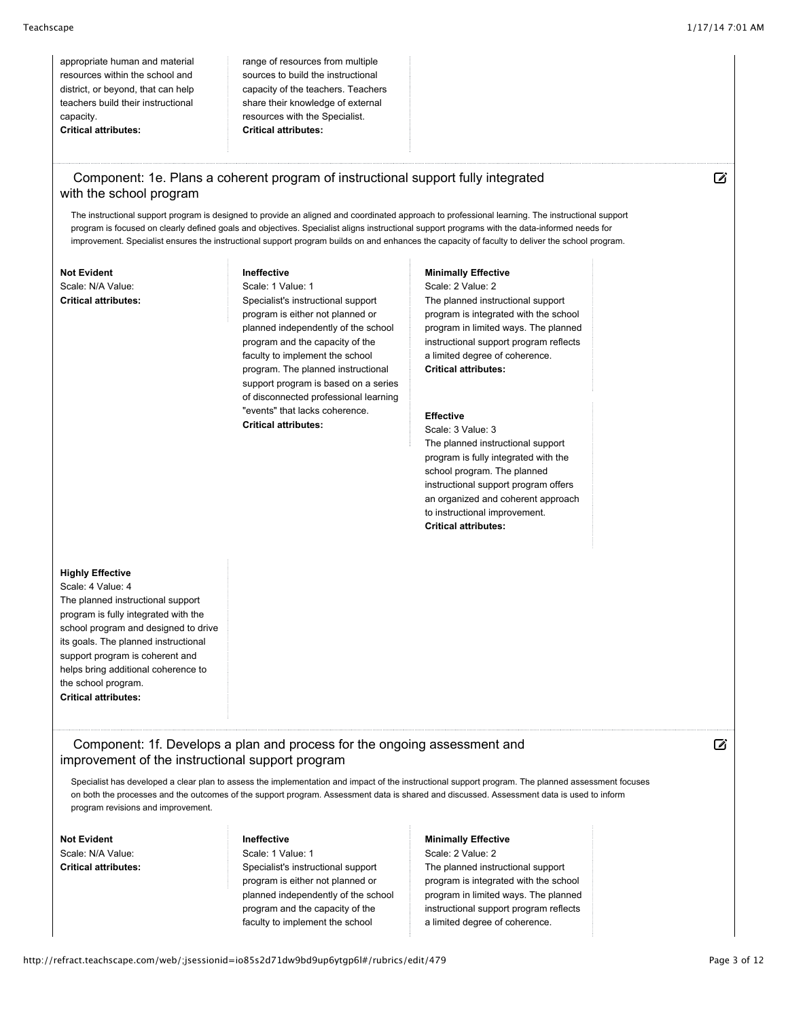$\omega$ 

appropriate human and material resources within the school and district, or beyond, that can help teachers build their instructional capacity.

**Critical attributes:**

range of resources from multiple sources to build the instructional capacity of the teachers. Teachers share their knowledge of external resources with the Specialist. **Critical attributes:**

# Component: 1e. Plans a coherent program of instructional support fully integrated with the school program

The instructional support program is designed to provide an aligned and coordinated approach to professional learning. The instructional support program is focused on clearly defined goals and objectives. Specialist aligns instructional support programs with the data-informed needs for improvement. Specialist ensures the instructional support program builds on and enhances the capacity of faculty to deliver the school program.

**Not Evident**

Scale: N/A Value: **Critical attributes:** **Ineffective**

#### Scale: 1 Value: 1

Specialist's instructional support program is either not planned or planned independently of the school program and the capacity of the faculty to implement the school program. The planned instructional support program is based on a series of disconnected professional learning "events" that lacks coherence. **Critical attributes:**

#### **Minimally Effective**

Scale: 2 Value: 2 The planned instructional support program is integrated with the school program in limited ways. The planned instructional support program reflects a limited degree of coherence. **Critical attributes:**

### **Effective**

Scale: 3 Value: 3 The planned instructional support program is fully integrated with the school program. The planned instructional support program offers an organized and coherent approach to instructional improvement. **Critical attributes:**

### **Highly Effective**

Scale: 4 Value: 4 The planned instructional support program is fully integrated with the school program and designed to drive its goals. The planned instructional support program is coherent and helps bring additional coherence to the school program. **Critical attributes:**

Component: 1f. Develops a plan and process for the ongoing assessment and improvement of the instructional support program

 $\mathbb Z$ 

Specialist has developed a clear plan to assess the implementation and impact of the instructional support program. The planned assessment focuses on both the processes and the outcomes of the support program. Assessment data is shared and discussed. Assessment data is used to inform program revisions and improvement.

**Not Evident** Scale: N/A Value: **Critical attributes:**

### **Ineffective**

Scale: 1 Value: 1 Specialist's instructional support program is either not planned or planned independently of the school program and the capacity of the faculty to implement the school

### **Minimally Effective**

Scale: 2 Value: 2 The planned instructional support program is integrated with the school program in limited ways. The planned instructional support program reflects a limited degree of coherence.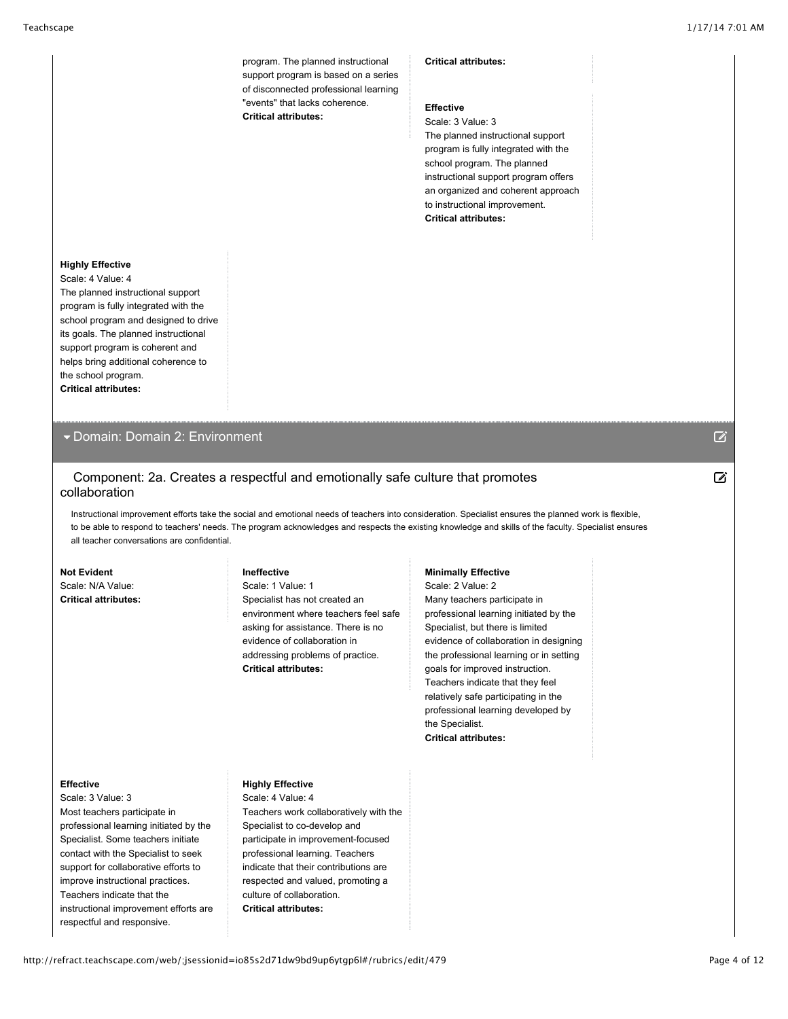program. The planned instructional support program is based on a series of disconnected professional learning "events" that lacks coherence. **Critical attributes:**

### **Critical attributes:**

#### **Effective**

Scale: 3 Value: 3 The planned instructional support program is fully integrated with the school program. The planned instructional support program offers an organized and coherent approach to instructional improvement. **Critical attributes:**

# **Highly Effective**

Scale: 4 Value: 4 The planned instructional support program is fully integrated with the school program and designed to drive its goals. The planned instructional support program is coherent and helps bring additional coherence to the school program. **Critical attributes:**

# Domain: Domain 2: Environment

### Component: 2a. Creates a respectful and emotionally safe culture that promotes collaboration

Instructional improvement efforts take the social and emotional needs of teachers into consideration. Specialist ensures the planned work is flexible, to be able to respond to teachers' needs. The program acknowledges and respects the existing knowledge and skills of the faculty. Specialist ensures all teacher conversations are confidential.

### **Not Evident**

Scale: N/A Value: **Critical attributes:**

### **Ineffective**

Scale: 1 Value: 1 Specialist has not created an environment where teachers feel safe asking for assistance. There is no evidence of collaboration in addressing problems of practice. **Critical attributes:**

### **Minimally Effective**

Scale: 2 Value: 2 Many teachers participate in professional learning initiated by the Specialist, but there is limited evidence of collaboration in designing the professional learning or in setting goals for improved instruction. Teachers indicate that they feel relatively safe participating in the professional learning developed by the Specialist. **Critical attributes:**

### **Effective**

Scale: 3 Value: 3 Most teachers participate in professional learning initiated by the Specialist. Some teachers initiate contact with the Specialist to seek support for collaborative efforts to improve instructional practices. Teachers indicate that the instructional improvement efforts are respectful and responsive.

# **Highly Effective**

Scale: 4 Value: 4 Teachers work collaboratively with the Specialist to co-develop and participate in improvement-focused professional learning. Teachers indicate that their contributions are respected and valued, promoting a culture of collaboration. **Critical attributes:**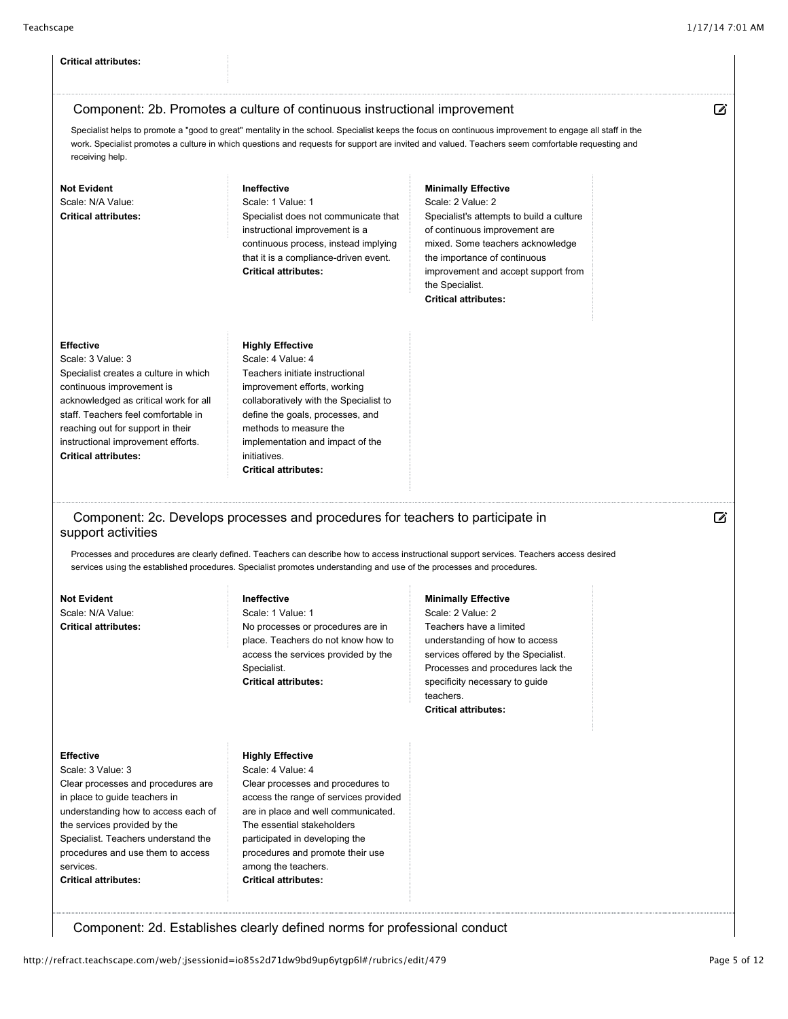# **Critical attributes:**

 $\vec{r}$ 

 $\mathbb{Z}$ 

# Component: 2b. Promotes a culture of continuous instructional improvement

Specialist helps to promote a "good to great" mentality in the school. Specialist keeps the focus on continuous improvement to engage all staff in the work. Specialist promotes a culture in which questions and requests for support are invited and valued. Teachers seem comfortable requesting and receiving help.

# Component: 2c. Develops processes and procedures for teachers to participate in support activities

Processes and procedures are clearly defined. Teachers can describe how to access instructional support services. Teachers access desired services using the established procedures. Specialist promotes understanding and use of the processes and procedures.

| <b>Not Evident</b>          |
|-----------------------------|
| Scale: N/A Value:           |
| <b>Critical attributes:</b> |

#### **Ineffective**

Scale: 1 Value: 1 No processes or procedures are in place. Teachers do not know how to access the services provided by the Specialist. **Critical attributes:**

### **Minimally Effective**

Scale: 2 Value: 2 Teachers have a limited understanding of how to access services offered by the Specialist. Processes and procedures lack the specificity necessary to guide teachers. **Critical attributes:**

### **Effective**

Scale: 3 Value: 3 Clear processes and procedures are in place to guide teachers in understanding how to access each of the services provided by the Specialist. Teachers understand the procedures and use them to access services.

**Critical attributes:**

### **Highly Effective** Scale: 4 Value: 4

Clear processes and procedures to access the range of services provided are in place and well communicated. The essential stakeholders participated in developing the procedures and promote their use among the teachers. **Critical attributes:**

Component: 2d. Establishes clearly defined norms for professional conduct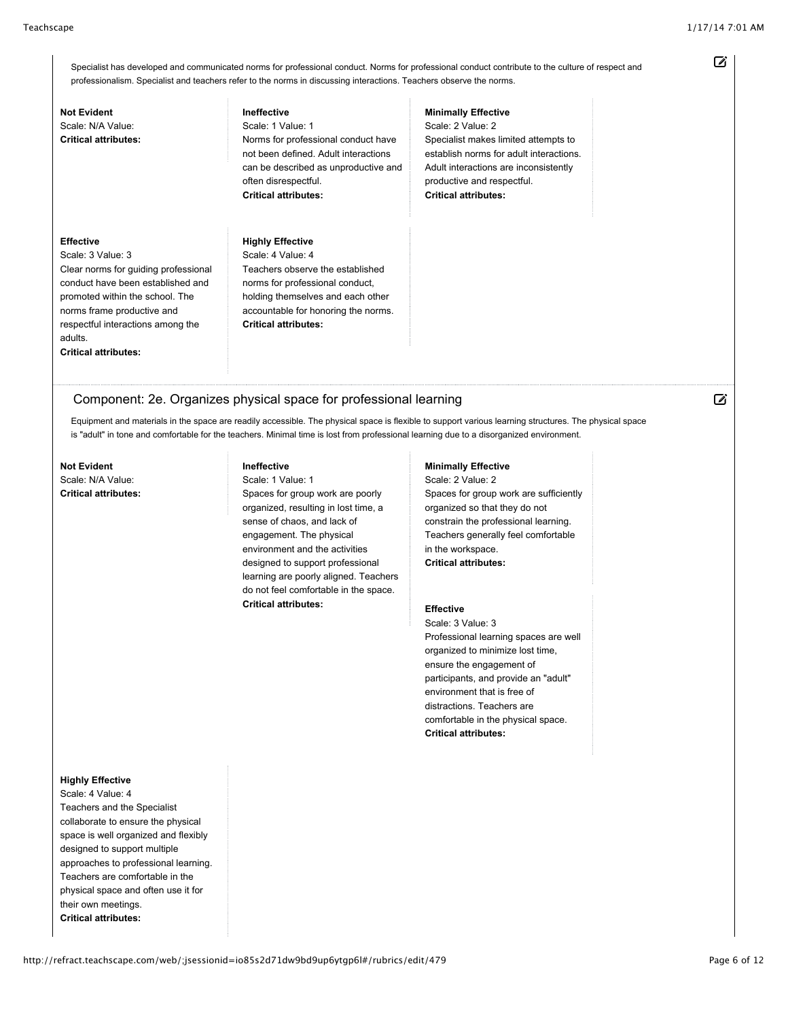Specialist has developed and communicated norms for professional conduct. Norms for professional conduct contribute to the culture of respect and professionalism. Specialist and teachers refer to the norms in discussing interactions. Teachers observe the norms.

**Not Evident** Scale: N/A Value: **Critical attributes:**

### **Ineffective**

Scale: 1 Value: 1 Norms for professional conduct have not been defined. Adult interactions can be described as unproductive and often disrespectful. **Critical attributes:**

### **Highly Effective**

### **Effective**

Scale: 3 Value: 3 Clear norms for guiding professional conduct have been established and promoted within the school. The norms frame productive and respectful interactions among the adults. **Critical attributes:**

Scale: 4 Value: 4 Teachers observe the established norms for professional conduct, holding themselves and each other accountable for honoring the norms. **Critical attributes:**

### **Minimally Effective**

Scale: 2 Value: 2 Specialist makes limited attempts to establish norms for adult interactions. Adult interactions are inconsistently productive and respectful. **Critical attributes:**

# Component: 2e. Organizes physical space for professional learning

 $\vec{z}$ 

Equipment and materials in the space are readily accessible. The physical space is flexible to support various learning structures. The physical space is "adult" in tone and comfortable for the teachers. Minimal time is lost from professional learning due to a disorganized environment.

**Not Evident** Scale: N/A Value: **Critical attributes:**

### **Ineffective**

Scale: 1 Value: 1 Spaces for group work are poorly organized, resulting in lost time, a sense of chaos, and lack of engagement. The physical environment and the activities designed to support professional learning are poorly aligned. Teachers do not feel comfortable in the space. **Critical attributes:**

### **Minimally Effective**

Scale: 2 Value: 2 Spaces for group work are sufficiently organized so that they do not constrain the professional learning. Teachers generally feel comfortable in the workspace. **Critical attributes:**

### **Effective**

Scale: 3 Value: 3 Professional learning spaces are well organized to minimize lost time, ensure the engagement of participants, and provide an "adult" environment that is free of distractions. Teachers are comfortable in the physical space. **Critical attributes:**

### **Highly Effective**

Scale: 4 Value: 4 Teachers and the Specialist collaborate to ensure the physical space is well organized and flexibly designed to support multiple approaches to professional learning. Teachers are comfortable in the physical space and often use it for their own meetings. **Critical attributes:**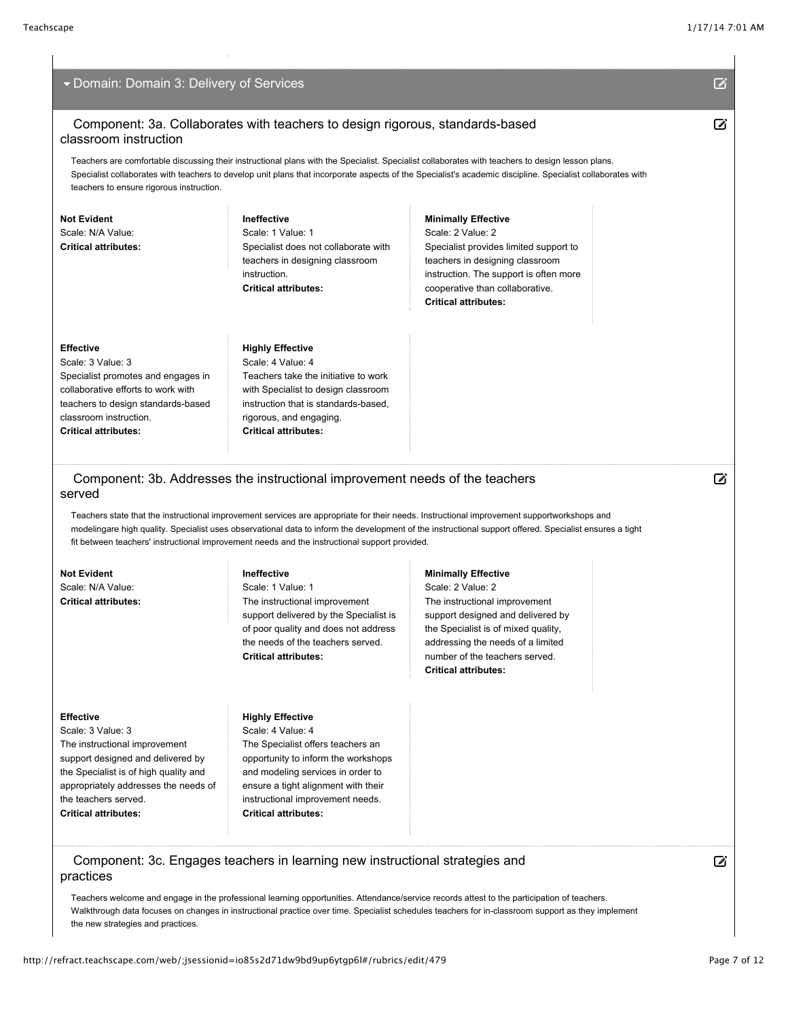| Domain: Domain 3: Delivery of Services                                                                                                                                                                           |                                                                                                                                                                                                                               |                                                                                                                                                                                                                                                                                                                | $\boldsymbol{\mathcal{Z}}$ |
|------------------------------------------------------------------------------------------------------------------------------------------------------------------------------------------------------------------|-------------------------------------------------------------------------------------------------------------------------------------------------------------------------------------------------------------------------------|----------------------------------------------------------------------------------------------------------------------------------------------------------------------------------------------------------------------------------------------------------------------------------------------------------------|----------------------------|
| classroom instruction<br>teachers to ensure rigorous instruction.                                                                                                                                                | Component: 3a. Collaborates with teachers to design rigorous, standards-based                                                                                                                                                 | Teachers are comfortable discussing their instructional plans with the Specialist. Specialist collaborates with teachers to design lesson plans.<br>Specialist collaborates with teachers to develop unit plans that incorporate aspects of the Specialist's academic discipline. Specialist collaborates with | ☑                          |
| <b>Not Evident</b><br>Scale: N/A Value:<br><b>Critical attributes:</b>                                                                                                                                           | Ineffective<br>Scale: 1 Value: 1<br>Specialist does not collaborate with<br>teachers in designing classroom<br>instruction.<br><b>Critical attributes:</b>                                                                    | <b>Minimally Effective</b><br>Scale: 2 Value: 2<br>Specialist provides limited support to<br>teachers in designing classroom<br>instruction. The support is often more<br>cooperative than collaborative.<br><b>Critical attributes:</b>                                                                       |                            |
| <b>Effective</b><br>Scale: 3 Value: 3<br>Specialist promotes and engages in<br>collaborative efforts to work with<br>teachers to design standards-based<br>classroom instruction.<br><b>Critical attributes:</b> | <b>Highly Effective</b><br>Scale: 4 Value: 4<br>Teachers take the initiative to work<br>with Specialist to design classroom<br>instruction that is standards-based,<br>rigorous, and engaging.<br><b>Critical attributes:</b> |                                                                                                                                                                                                                                                                                                                |                            |
|                                                                                                                                                                                                                  | Component: 3b. Addresses the instructional improvement needs of the teachers                                                                                                                                                  |                                                                                                                                                                                                                                                                                                                | び                          |

# Component: 3b. Addresses the instructional improvement needs of the teachers served

Teachers state that the instructional improvement services are appropriate for their needs. Instructional improvement supportworkshops and modelingare high quality. Specialist uses observational data to inform the development of the instructional support offered. Specialist ensures a tight fit between teachers' instructional improvement needs and the instructional support provided.

**Not Evident** Scale: N/A Value: **Critical attributes:**

### **Ineffective**

Scale: 1 Value: 1 The instructional improvement support delivered by the Specialist is of poor quality and does not address the needs of the teachers served. **Critical attributes:**

### **Effective**

Scale: 3 Value: 3 The instructional improvement support designed and delivered by the Specialist is of high quality and appropriately addresses the needs of the teachers served. **Critical attributes:**

### **Highly Effective**

Scale: 4 Value: 4 The Specialist offers teachers an opportunity to inform the workshops and modeling services in order to ensure a tight alignment with their instructional improvement needs. **Critical attributes:**

### **Minimally Effective**

Scale: 2 Value: 2 The instructional improvement support designed and delivered by the Specialist is of mixed quality, addressing the needs of a limited number of the teachers served. **Critical attributes:**

Component: 3c. Engages teachers in learning new instructional strategies and practices

 $\triangledown$ 

Teachers welcome and engage in the professional learning opportunities. Attendance/service records attest to the participation of teachers. Walkthrough data focuses on changes in instructional practice over time. Specialist schedules teachers for in-classroom support as they implement the new strategies and practices.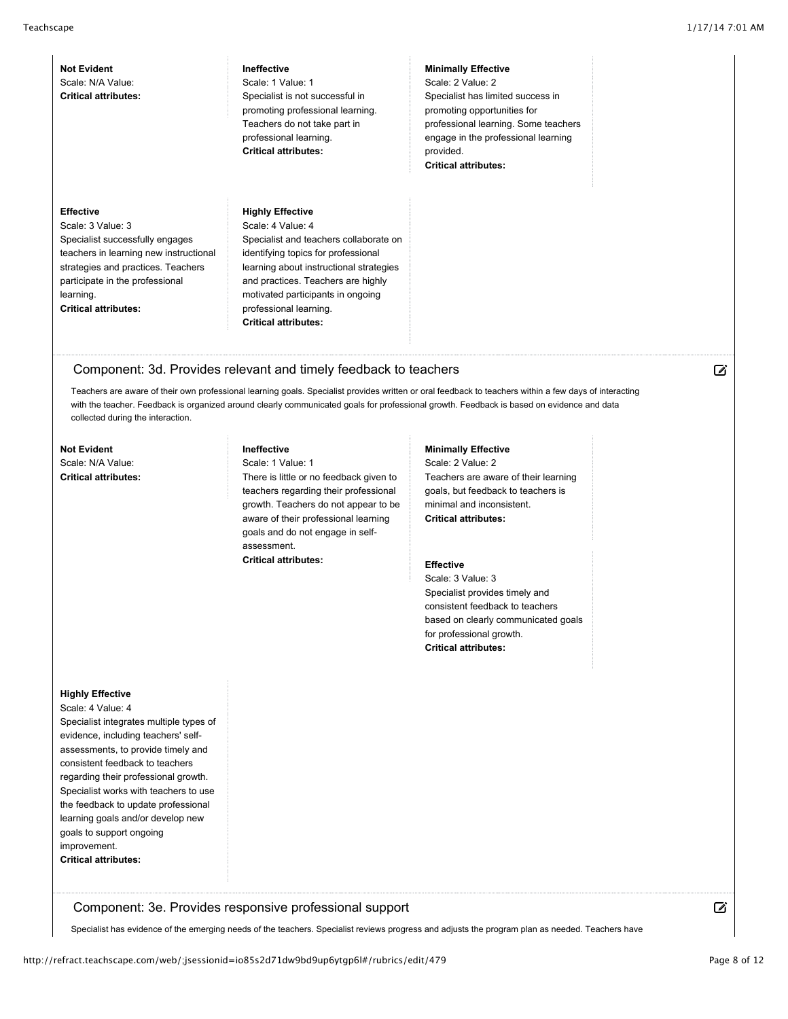**Not Evident** Scale: N/A Value: **Critical attributes:**

### **Ineffective** Scale: 1 Value: 1 Specialist is not successful in promoting professional learning. Teachers do not take part in

professional learning. **Critical attributes:**

**Minimally Effective** Scale: 2 Value: 2 Specialist has limited success in promoting opportunities for professional learning. Some teachers engage in the professional learning provided. **Critical attributes:**

# **Effective**

Scale: 3 Value: 3 Specialist successfully engages teachers in learning new instructional strategies and practices. Teachers participate in the professional learning. **Critical attributes:**

### **Highly Effective** Scale: 4 Value: 4

# Specialist and teachers collaborate on identifying topics for professional learning about instructional strategies and practices. Teachers are highly motivated participants in ongoing professional learning. **Critical attributes:**

# Component: 3d. Provides relevant and timely feedback to teachers

Teachers are aware of their own professional learning goals. Specialist provides written or oral feedback to teachers within a few days of interacting with the teacher. Feedback is organized around clearly communicated goals for professional growth. Feedback is based on evidence and data collected during the interaction.

**Not Evident** Scale: N/A Value: **Critical attributes:**

# **Ineffective**

Scale: 1 Value: 1 There is little or no feedback given to teachers regarding their professional growth. Teachers do not appear to be aware of their professional learning goals and do not engage in selfassessment. **Critical attributes:**

### **Minimally Effective**

Scale: 2 Value: 2 Teachers are aware of their learning goals, but feedback to teachers is minimal and inconsistent. **Critical attributes:**

### **Effective**

Scale: 3 Value: 3 Specialist provides timely and consistent feedback to teachers based on clearly communicated goals for professional growth. **Critical attributes:**

## **Highly Effective**

Scale: 4 Value: 4 Specialist integrates multiple types of evidence, including teachers' selfassessments, to provide timely and consistent feedback to teachers regarding their professional growth. Specialist works with teachers to use the feedback to update professional learning goals and/or develop new goals to support ongoing improvement. **Critical attributes:**

Component: 3e. Provides responsive professional support

Specialist has evidence of the emerging needs of the teachers. Specialist reviews progress and adjusts the program plan as needed. Teachers have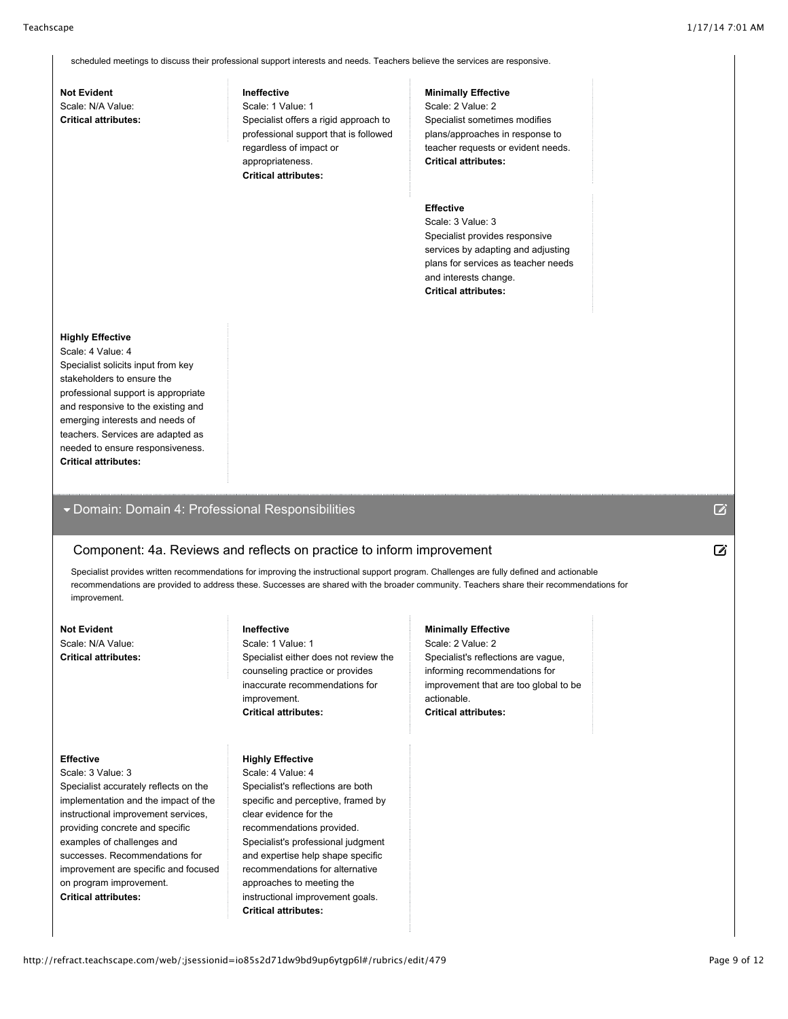scheduled meetings to discuss their professional support interests and needs. Teachers believe the services are responsive.

**Not Evident** Scale: N/A Value: **Critical attributes:**

# **Ineffective** Scale: 1 Value: 1

Specialist offers a rigid approach to professional support that is followed regardless of impact or appropriateness. **Critical attributes:**

### **Minimally Effective**

Scale: 2 Value: 2 Specialist sometimes modifies plans/approaches in response to teacher requests or evident needs. **Critical attributes:**

### **Effective**

Scale: 3 Value: 3 Specialist provides responsive services by adapting and adjusting plans for services as teacher needs and interests change. **Critical attributes:**

# **Highly Effective**

Scale: 4 Value: 4 Specialist solicits input from key stakeholders to ensure the professional support is appropriate and responsive to the existing and emerging interests and needs of teachers. Services are adapted as needed to ensure responsiveness. **Critical attributes:**

# Domain: Domain 4: Professional Responsibilities

# Component: 4a. Reviews and reflects on practice to inform improvement

Specialist provides written recommendations for improving the instructional support program. Challenges are fully defined and actionable recommendations are provided to address these. Successes are shared with the broader community. Teachers share their recommendations for improvement.

# **Not Evident**

Scale: N/A Value: **Critical attributes:**

### **Effective**

Scale: 3 Value: 3 Specialist accurately reflects on the implementation and the impact of the instructional improvement services, providing concrete and specific examples of challenges and successes. Recommendations for improvement are specific and focused on program improvement. **Critical attributes:**

### **Ineffective**

Scale: 1 Value: 1 Specialist either does not review the counseling practice or provides inaccurate recommendations for improvement. **Critical attributes:**

# **Highly Effective**

Scale: 4 Value: 4 Specialist's reflections are both specific and perceptive, framed by clear evidence for the recommendations provided. Specialist's professional judgment and expertise help shape specific recommendations for alternative approaches to meeting the instructional improvement goals. **Critical attributes:**

## **Minimally Effective**

Scale: 2 Value: 2 Specialist's reflections are vague, informing recommendations for improvement that are too global to be actionable. **Critical attributes:**

 $\mathcal{D}$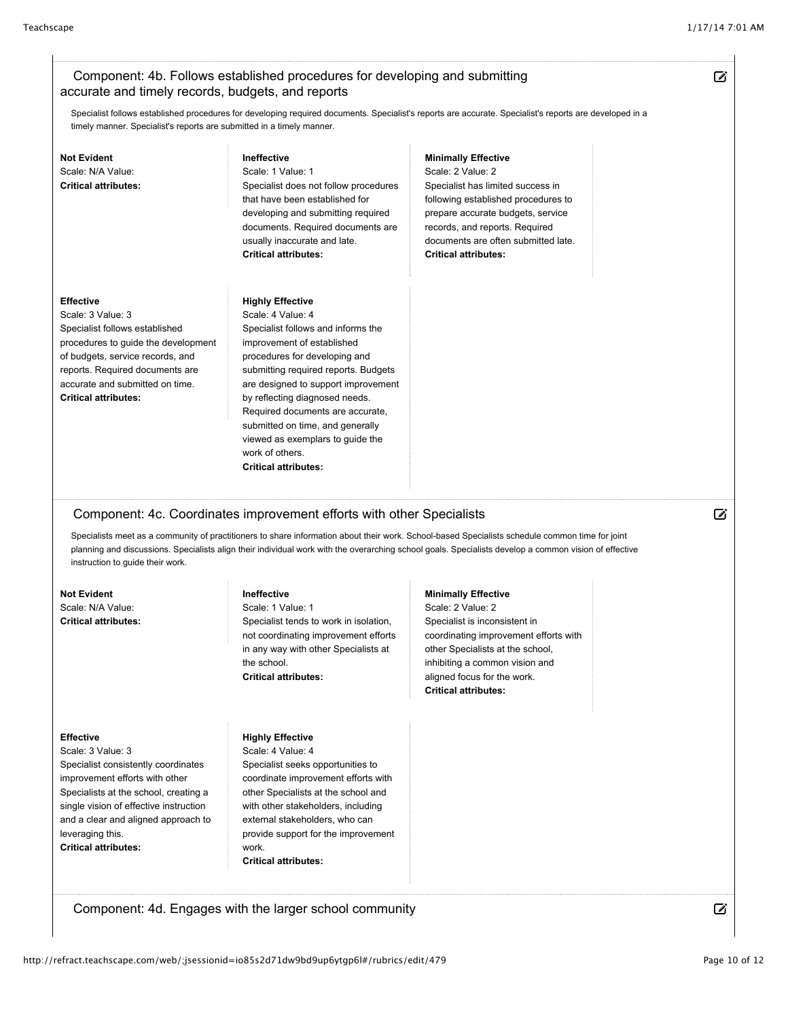# Component: 4b. Follows established procedures for developing and submitting accurate and timely records, budgets, and reports

 $\mathcal{D}$ 

Specialist follows established procedures for developing required documents. Specialist's reports are accurate. Specialist's reports are developed in a timely manner. Specialist's reports are submitted in a timely manner.

**Not Evident** Scale: N/A Value: **Critical attributes:**

### **Ineffective**

Scale: 1 Value: 1 Specialist does not follow procedures that have been established for developing and submitting required documents. Required documents are usually inaccurate and late. **Critical attributes:**

### **Minimally Effective**

Scale: 2 Value: 2 Specialist has limited success in following established procedures to prepare accurate budgets, service records, and reports. Required documents are often submitted late. **Critical attributes:**

### **Effective**

Scale: 3 Value: 3 Specialist follows established procedures to guide the development of budgets, service records, and reports. Required documents are accurate and submitted on time. **Critical attributes:**

### **Highly Effective**

Scale: 4 Value: 4 Specialist follows and informs the improvement of established procedures for developing and submitting required reports. Budgets are designed to support improvement by reflecting diagnosed needs. Required documents are accurate, submitted on time, and generally viewed as exemplars to guide the work of others. **Critical attributes:**

# Component: 4c. Coordinates improvement efforts with other Specialists

Specialists meet as a community of practitioners to share information about their work. School-based Specialists schedule common time for joint planning and discussions. Specialists align their individual work with the overarching school goals. Specialists develop a common vision of effective instruction to guide their work.

**Not Evident** Scale: N/A Value: **Critical attributes:**

# **Ineffective**

Scale: 1 Value: 1 Specialist tends to work in isolation, not coordinating improvement efforts in any way with other Specialists at the school. **Critical attributes:**

#### **Effective**

Scale: 3 Value: 3 Specialist consistently coordinates improvement efforts with other Specialists at the school, creating a single vision of effective instruction and a clear and aligned approach to leveraging this. **Critical attributes:**

# **Highly Effective**

Scale: 4 Value: 4 Specialist seeks opportunities to coordinate improvement efforts with other Specialists at the school and with other stakeholders, including external stakeholders, who can provide support for the improvement work. **Critical attributes:**

### **Minimally Effective**

Scale: 2 Value: 2 Specialist is inconsistent in coordinating improvement efforts with other Specialists at the school, inhibiting a common vision and aligned focus for the work. **Critical attributes:**

 $\mathbb Z$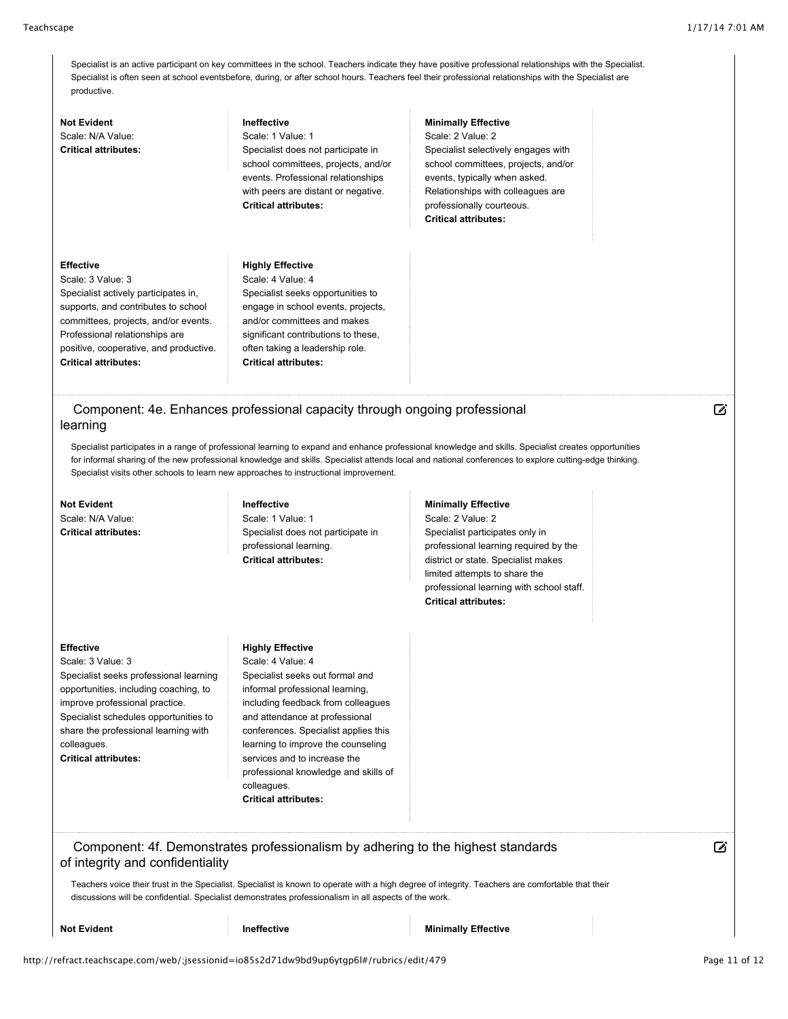$\mathcal{D}$ 

Specialist is an active participant on key committees in the school. Teachers indicate they have positive professional relationships with the Specialist. Specialist is often seen at school eventsbefore, during, or after school hours. Teachers feel their professional relationships with the Specialist are productive.

**Not Evident** Scale: N/A Value: **Critical attributes:**

#### **Ineffective**

**Highly Effective**

Scale: 1 Value: 1 Specialist does not participate in school committees, projects, and/or events. Professional relationships with peers are distant or negative. **Critical attributes:**

### **Minimally Effective**

Scale: 2 Value: 2 Specialist selectively engages with school committees, projects, and/or events, typically when asked. Relationships with colleagues are professionally courteous. **Critical attributes:**

# **Effective**

Scale: 3 Value: 3 Specialist actively participates in, supports, and contributes to school committees, projects, and/or events. Professional relationships are positive, cooperative, and productive. **Critical attributes:**

### Scale: 4 Value: 4 Specialist seeks opportunities to engage in school events, projects, and/or committees and makes significant contributions to these, often taking a leadership role. **Critical attributes:**

# Component: 4e. Enhances professional capacity through ongoing professional learning

Specialist participates in a range of professional learning to expand and enhance professional knowledge and skills. Specialist creates opportunities for informal sharing of the new professional knowledge and skills. Specialist attends local and national conferences to explore cutting-edge thinking. Specialist visits other schools to learn new approaches to instructional improvement.

### **Not Evident**

Scale: N/A Value: **Critical attributes:**

### **Ineffective**

Scale: 1 Value: 1 Specialist does not participate in professional learning. **Critical attributes:**

### **Minimally Effective**

Scale: 2 Value: 2 Specialist participates only in professional learning required by the district or state. Specialist makes limited attempts to share the professional learning with school staff. **Critical attributes:**

#### **Effective**

Scale: 3 Value: 3 Specialist seeks professional learning opportunities, including coaching, to improve professional practice. Specialist schedules opportunities to share the professional learning with colleagues. **Critical attributes:**

#### **Highly Effective**

Scale: 4 Value: 4 Specialist seeks out formal and informal professional learning, including feedback from colleagues and attendance at professional conferences. Specialist applies this learning to improve the counseling services and to increase the professional knowledge and skills of colleagues. **Critical attributes:**

Component: 4f. Demonstrates professionalism by adhering to the highest standards of integrity and confidentiality

**Not Evident Ineffective Minimally Effective**

Teachers voice their trust in the Specialist. Specialist is known to operate with a high degree of integrity. Teachers are comfortable that their discussions will be confidential. Specialist demonstrates professionalism in all aspects of the work.

 $\mathbb Z$